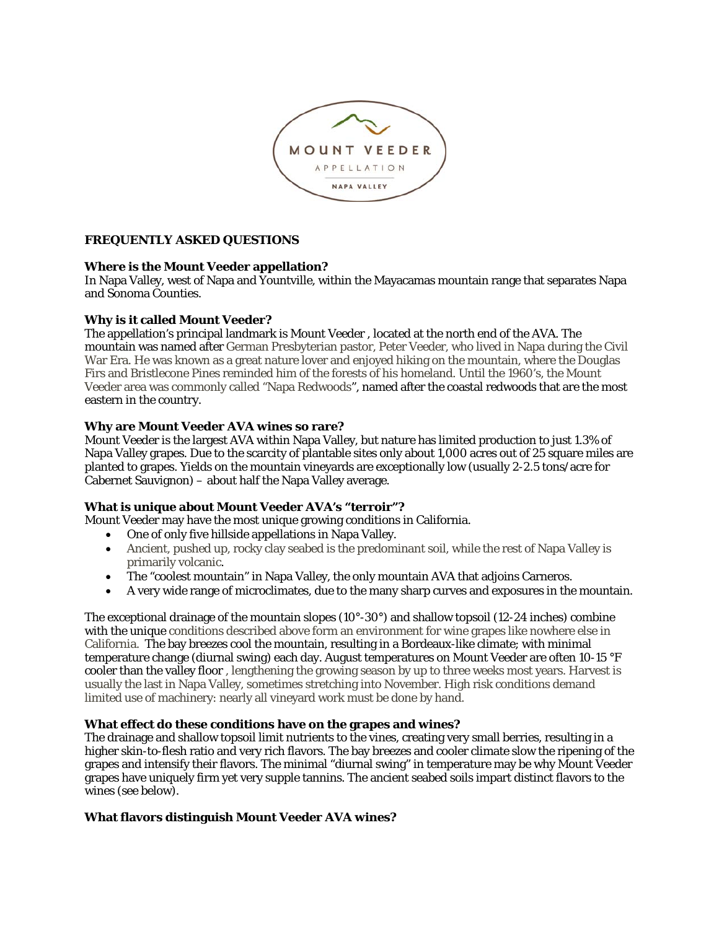

# **FREQUENTLY ASKED QUESTIONS**

### **Where is the Mount Veeder appellation?**

In Napa Valley, west of Napa and Yountville, within the Mayacamas mountain range that separates Napa and Sonoma Counties.

### **Why is it called Mount Veeder?**

The appellation's principal landmark is Mount Veeder , located at the north end of the AVA. The mountain was named after German Presbyterian pastor, Peter Veeder, who lived in Napa during the Civil War Era. He was known as a great nature lover and enjoyed hiking on the mountain, where the Douglas Firs and Bristlecone Pines reminded him of the forests of his homeland. Until the 1960's, the Mount Veeder area was commonly called "Napa Redwoods", named after the coastal redwoods that are the most eastern in the country.

# **Why are Mount Veeder AVA wines so rare?**

Mount Veeder is the largest AVA within Napa Valley, but nature has limited production to just 1.3% of Napa Valley grapes. Due to the scarcity of plantable sites only about 1,000 acres out of 25 square miles are planted to grapes. Yields on the mountain vineyards are exceptionally low (usually 2-2.5 tons/acre for Cabernet Sauvignon) – about half the Napa Valley average.

### **What is unique about Mount Veeder AVA's "terroir"?**

Mount Veeder may have the most unique growing conditions in California.

- One of only five hillside appellations in Napa Valley.
- Ancient, pushed up, rocky clay seabed is the predominant soil, while the rest of Napa Valley is primarily volcanic.
- The "coolest mountain" in Napa Valley, the only mountain AVA that adjoins Carneros.
- A very wide range of microclimates, due to the many sharp curves and exposures in the mountain.

The exceptional drainage of the mountain slopes (10°-30°) and shallow topsoil (12-24 inches) combine with the unique conditions described above form an environment for wine grapes like nowhere else in California. The bay breezes cool the mountain, resulting in a Bordeaux-like climate; with minimal temperature change (diurnal swing) each day. August temperatures on Mount Veeder are often 10-15 °F cooler than the valley floor , lengthening the growing season by up to three weeks most years. Harvest is usually the last in Napa Valley, sometimes stretching into November. High risk conditions demand limited use of machinery: nearly all vineyard work must be done by hand.

### **What effect do these conditions have on the grapes and wines?**

The drainage and shallow topsoil limit nutrients to the vines, creating very small berries, resulting in a higher skin-to-flesh ratio and very rich flavors. The bay breezes and cooler climate slow the ripening of the grapes and intensify their flavors. The minimal "diurnal swing" in temperature may be why Mount Veeder grapes have uniquely firm yet very supple tannins. The ancient seabed soils impart distinct flavors to the wines (see below).

# **What flavors distinguish Mount Veeder AVA wines?**